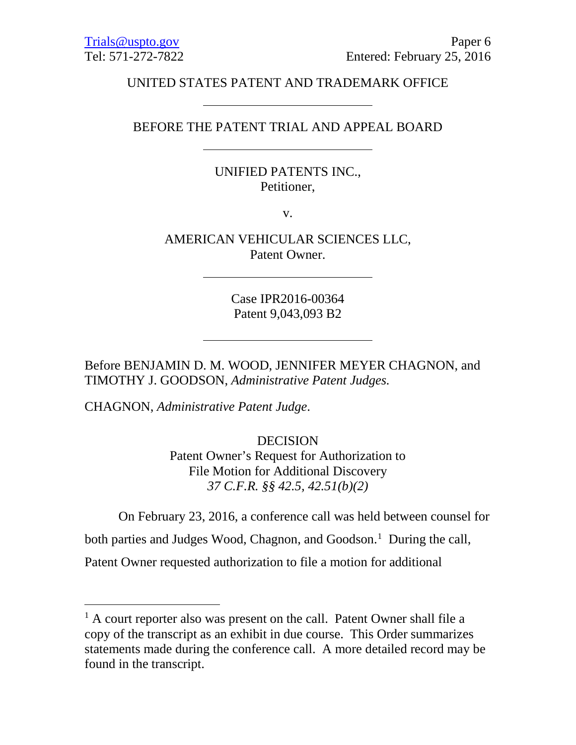# UNITED STATES PATENT AND TRADEMARK OFFICE

## BEFORE THE PATENT TRIAL AND APPEAL BOARD

# UNIFIED PATENTS INC., Petitioner,

v.

AMERICAN VEHICULAR SCIENCES LLC, Patent Owner.

> Case IPR2016-00364 Patent 9,043,093 B2

Before BENJAMIN D. M. WOOD, JENNIFER MEYER CHAGNON, and TIMOTHY J. GOODSON, *Administrative Patent Judges.*

CHAGNON, *Administrative Patent Judge*.

DECISION Patent Owner's Request for Authorization to File Motion for Additional Discovery *37 C.F.R. §§ 42.5, 42.51(b)(2)*

On February 23, 2016, a conference call was held between counsel for

both parties and Judges Wood, Chagnon, and Goodson.<sup>[1](#page-0-0)</sup> During the call,

Patent Owner requested authorization to file a motion for additional

<span id="page-0-0"></span><sup>&</sup>lt;sup>1</sup> A court reporter also was present on the call. Patent Owner shall file a copy of the transcript as an exhibit in due course. This Order summarizes statements made during the conference call. A more detailed record may be found in the transcript.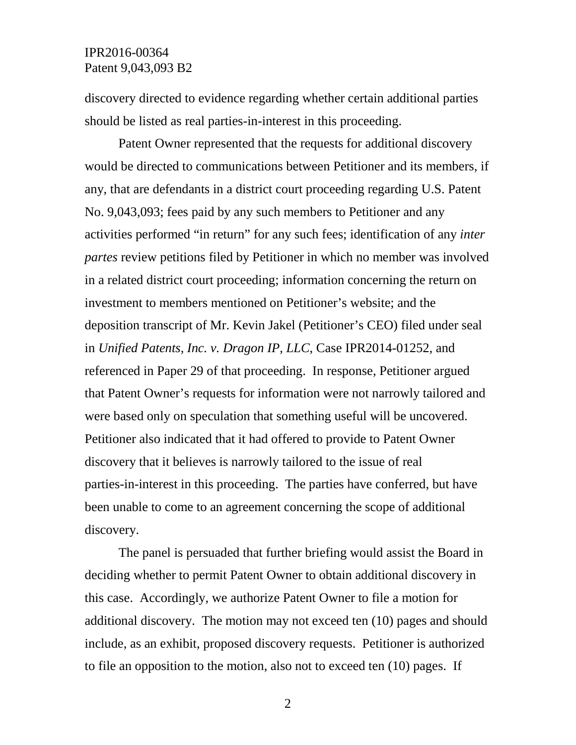### IPR2016-00364 Patent 9,043,093 B2

discovery directed to evidence regarding whether certain additional parties should be listed as real parties-in-interest in this proceeding.

Patent Owner represented that the requests for additional discovery would be directed to communications between Petitioner and its members, if any, that are defendants in a district court proceeding regarding U.S. Patent No. 9,043,093; fees paid by any such members to Petitioner and any activities performed "in return" for any such fees; identification of any *inter partes* review petitions filed by Petitioner in which no member was involved in a related district court proceeding; information concerning the return on investment to members mentioned on Petitioner's website; and the deposition transcript of Mr. Kevin Jakel (Petitioner's CEO) filed under seal in *Unified Patents, Inc. v. Dragon IP, LLC*, Case IPR2014-01252, and referenced in Paper 29 of that proceeding. In response, Petitioner argued that Patent Owner's requests for information were not narrowly tailored and were based only on speculation that something useful will be uncovered. Petitioner also indicated that it had offered to provide to Patent Owner discovery that it believes is narrowly tailored to the issue of real parties-in-interest in this proceeding. The parties have conferred, but have been unable to come to an agreement concerning the scope of additional discovery.

The panel is persuaded that further briefing would assist the Board in deciding whether to permit Patent Owner to obtain additional discovery in this case. Accordingly, we authorize Patent Owner to file a motion for additional discovery. The motion may not exceed ten (10) pages and should include, as an exhibit, proposed discovery requests. Petitioner is authorized to file an opposition to the motion, also not to exceed ten (10) pages. If

2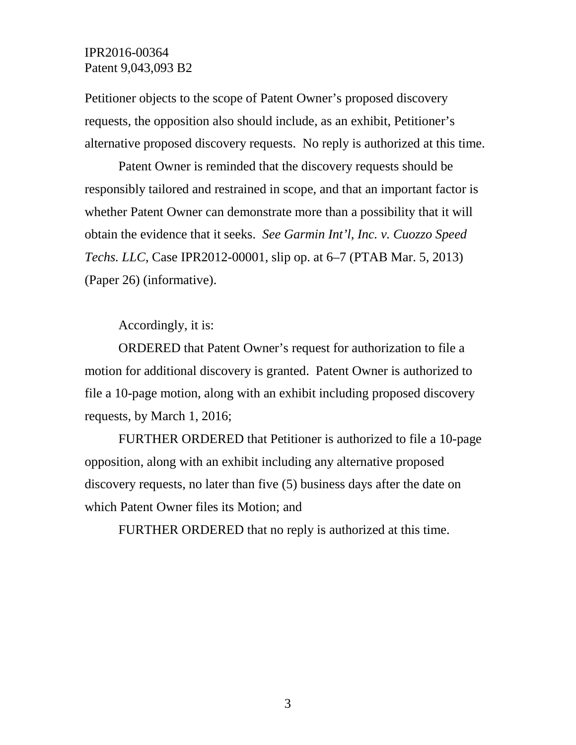## IPR2016-00364 Patent 9,043,093 B2

Petitioner objects to the scope of Patent Owner's proposed discovery requests, the opposition also should include, as an exhibit, Petitioner's alternative proposed discovery requests. No reply is authorized at this time.

Patent Owner is reminded that the discovery requests should be responsibly tailored and restrained in scope, and that an important factor is whether Patent Owner can demonstrate more than a possibility that it will obtain the evidence that it seeks. *See Garmin Int'l, Inc. v. Cuozzo Speed Techs. LLC*, Case IPR2012-00001, slip op. at 6–7 (PTAB Mar. 5, 2013) (Paper 26) (informative).

Accordingly, it is:

ORDERED that Patent Owner's request for authorization to file a motion for additional discovery is granted. Patent Owner is authorized to file a 10-page motion, along with an exhibit including proposed discovery requests, by March 1, 2016;

FURTHER ORDERED that Petitioner is authorized to file a 10-page opposition, along with an exhibit including any alternative proposed discovery requests, no later than five (5) business days after the date on which Patent Owner files its Motion; and

FURTHER ORDERED that no reply is authorized at this time.